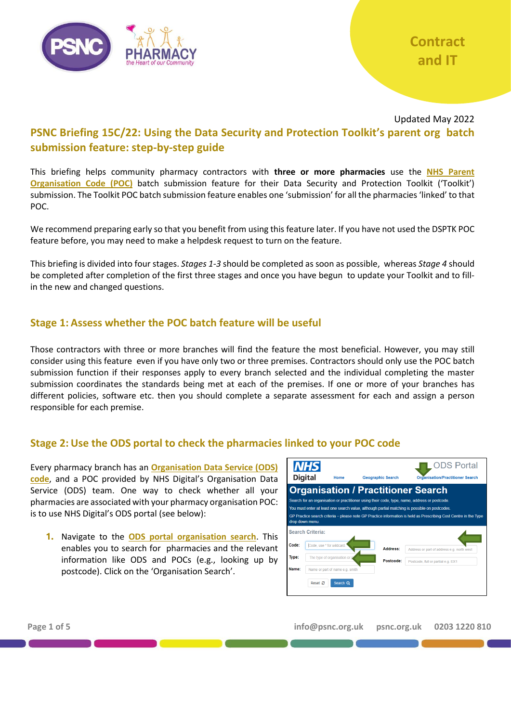

### Updated May 2022 **PSNC Briefing 15C/22: Using the Data Security and Protection Toolkit's parent org batch submission feature: step-by-step guide**

This briefing helps community pharmacy contractors with **three or more pharmacies** use the **[NHS Parent](https://psnc.org.uk/poc)  [Organisation Code \(POC\)](https://psnc.org.uk/poc)** batch submission feature for their Data Security and Protection Toolkit ('Toolkit') submission. The Toolkit POC batch submission feature enables one 'submission' for all the pharmacies 'linked' to that POC.

We recommend preparing early so that you benefit from using this feature later. If you have not used the DSPTK POC feature before, you may need to make a helpdesk request to turn on the feature.

This briefing is divided into four stages. *Stages 1-3* should be completed as soon as possible, whereas *Stage 4* should be completed after completion of the first three stages and once you have begun to update your Toolkit and to fillin the new and changed questions.

### **Stage 1: Assess whether the POC batch feature will be useful**

Those contractors with three or more branches will find the feature the most beneficial. However, you may still consider using this feature even if you have only two or three premises. Contractors should only use the POC batch submission function if their responses apply to every branch selected and the individual completing the master submission coordinates the standards being met at each of the premises. If one or more of your branches has different policies, software etc. then you should complete a separate assessment for each and assign a person responsible for each premise.

### **Stage 2: Use the ODS portal to check the pharmacies linked to your POC code**

Every pharmacy branch has an **[Organisation Data Service \(ODS\)](https://psnc.org.uk/ods)  [code](https://psnc.org.uk/ods)**, and a POC provided by NHS Digital's Organisation Data Service (ODS) team. One way to check whether all your pharmacies are associated with your pharmacy organisation POC: is to use NHS Digital's ODS portal (see below):

**1.** Navigate to the **[ODS portal organisation search](https://odsportal.digital.nhs.uk/Organisation/Search)**. This enables you to search for pharmacies and the relevant information like ODS and POCs (e.g., looking up by postcode). Click on the 'Organisation Search'.



**Page 1 of 5 info@psnc.org.uk psnc.org.uk 0203 1220 810**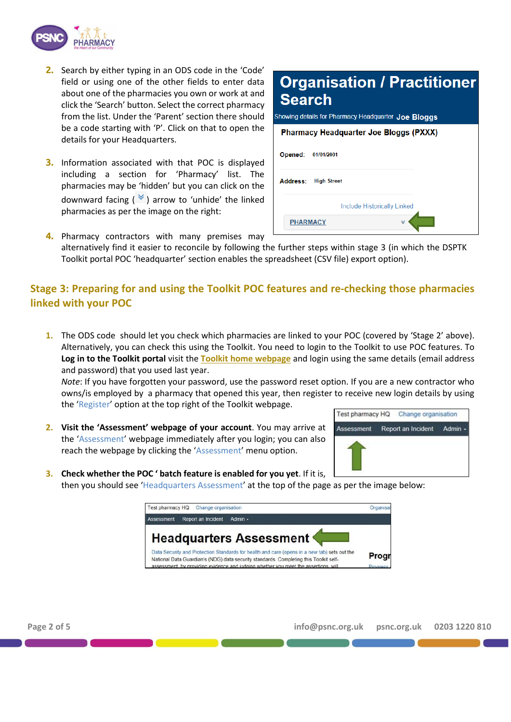

- **2.** Search by either typing in an ODS code in the 'Code' field or using one of the other fields to enter data about one of the pharmacies you own or work at and click the 'Search' button. Select the correct pharmacy from the list. Under the 'Parent' section there should be a code starting with 'P'. Click on that to open the details for your Headquarters.
- **3.** Information associated with that POC is displayed including a section for 'Pharmacy' list. The pharmacies may be 'hidden' but you can click on the downward facing  $(\mathcal{V})$  arrow to 'unhide' the linked pharmacies as per the image on the right:

# **Organisation / Practitioner Search**

Showing details for Pharmacy Headquarter Joe Bloggs

| <b>Pharmacy Headquarter Joe Bloggs (PXXX)</b> |                             |  |
|-----------------------------------------------|-----------------------------|--|
| Opened:                                       | 01/01/2001                  |  |
| <b>Address:</b>                               | <b>High Street</b>          |  |
|                                               | Include Historically Linked |  |
|                                               | <b>PHARMACY</b><br>×        |  |

**4.** Pharmacy contractors with many premises may alternatively find it easier to reconcile by following the further steps within stage 3 (in which the DSPTK Toolkit portal POC 'headquarter' section enables the spreadsheet (CSV file) export option).

## **Stage 3: Preparing for and using the Toolkit POC features and re-checking those pharmacies linked with your POC**

**1.** The ODS code should let you check which pharmacies are linked to your POC (covered by 'Stage 2' above). Alternatively, you can check this using the Toolkit. You need to login to the Toolkit to use POC features. To **Log in to the Toolkit portal** visit the **[Toolkit home webpage](https://www.dsptoolkit.nhs.uk/?AspxAutoDetectCookieSupport=1)** and login using the same details (email address and password) that you used last year.

*Note*: If you have forgotten your password, use the password reset option. If you are a new contractor who owns/is employed by a pharmacy that opened this year, then register to receive new login details by using the 'Register' option at the top right of the Toolkit webpage.

**2. Visit the 'Assessment' webpage of your account**. You may arrive at the 'Assessment' webpage immediately after you login; you can also reach the webpage by clicking the 'Assessment' menu option.



**3. Check whether the POC ' batch feature is enabled for you yet**. If it is, then you should see 'Headquarters Assessment' at the top of the page as per the image below:

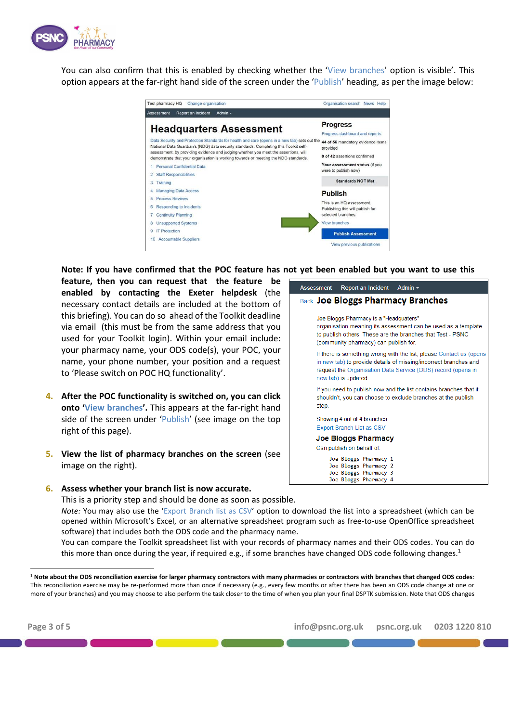

You can also confirm that this is enabled by checking whether the 'View branches' option is visible'. This option appears at the far-right hand side of the screen under the 'Publish' heading, as per the image below:



**Note: If you have confirmed that the POC feature has not yet been enabled but you want to use this** 

**feature, then you can request that the feature be enabled by contacting the Exeter helpdesk** (the necessary contact details are included at the bottom of this briefing). You can do so ahead of the Toolkit deadline via email (this must be from the same address that you used for your Toolkit login). Within your email include: your pharmacy name, your ODS code(s), your POC, your name, your phone number, your position and a request to 'Please switch on POC HQ functionality'.

- **4. After the POC functionality is switched on, you can click onto 'View branches'.** This appears at the far-right hand side of the screen under 'Publish' (see image on the top right of this page).
- **5. View the list of pharmacy branches on the screen** (see image on the right).
- **6. Assess whether your branch list is now accurate.**

This is a priority step and should be done as soon as possible.

*Note:* You may also use the 'Export Branch list as CSV' option to download the list into a spreadsheet (which can be opened within Microsoft's Excel, or an alternative spreadsheet program such as free-to-use OpenOffice spreadsheet software) that includes both the ODS code and the pharmacy name.

You can compare the Toolkit spreadsheet list with your records of pharmacy names and their ODS codes. You can do this more than once during the year, if required e.g., if some branches have changed ODS code following changes.<sup>1</sup>

| Assessment | Report an Incident Admin -                                                                       |                                                                                                                                                                                                         |
|------------|--------------------------------------------------------------------------------------------------|---------------------------------------------------------------------------------------------------------------------------------------------------------------------------------------------------------|
|            |                                                                                                  | <b>Back Joe Bloggs Pharmacy Branches</b>                                                                                                                                                                |
|            | Joe Bloggs Pharmacy is a "Headquaters"<br>(community pharmacy) can publish for.                  | organisation meaning its assessment can be used as a template<br>to publish others. These are the branches that Test - PSNC                                                                             |
|            | new tab) is updated.                                                                             | If there is something wrong with the list, please Contact us (opens<br>in new tab) to provide details of missing/incorrect branches and<br>request the Organisation Data Service (ODS) record (opens in |
| step.      |                                                                                                  | If you need to publish now and the list contains branches that it<br>shouldn't, you can choose to exclude branches at the publish                                                                       |
|            | Showing 4 out of 4 branches<br><b>Export Branch List as CSV</b>                                  |                                                                                                                                                                                                         |
|            | <b>Joe Bloggs Pharmacy</b><br>Can publish on behalf of:                                          |                                                                                                                                                                                                         |
|            | Joe Bloggs Pharmacy 1<br>Joe Bloggs Pharmacy 2<br>Joe Bloggs Pharmacy 3<br>Joe Bloggs Pharmacy 4 |                                                                                                                                                                                                         |

<sup>1</sup> **Note about the ODS reconciliation exercise for larger pharmacy contractors with many pharmacies or contractors with branches that changed ODS codes**: This reconciliation exercise may be re-performed more than once if necessary (e.g., every few months or after there has been an ODS code change at one or more of your branches) and you may choose to also perform the task closer to the time of when you plan your final DSPTK submission. Note that ODS changes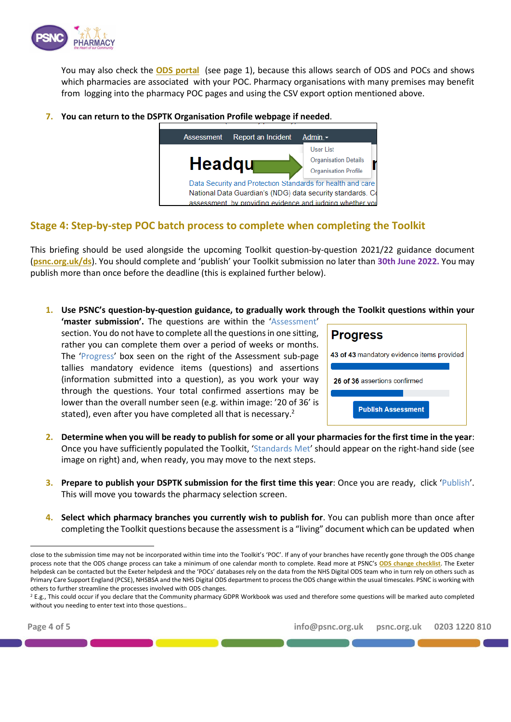

You may also check the **[ODS portal](https://odsportal.digital.nhs.uk/Organisation/Search)** (see page 1), because this allows search of ODS and POCs and shows which pharmacies are associated with your POC. Pharmacy organisations with many premises may benefit from logging into the pharmacy POC pages and using the CSV export option mentioned above.

**7. You can return to the DSPTK Organisation Profile webpage if needed**.



### **Stage 4: Step-by-step POC batch process to complete when completing the Toolkit**

This briefing should be used alongside the upcoming Toolkit question-by-question 2021/22 guidance document (**[psnc.org.uk/ds](https://psnc.org.uk/ds)**). You should complete and 'publish' your Toolkit submission no later than **30th June 2022.** You may publish more than once before the deadline (this is explained further below).

**1. Use PSNC's question-by-question guidance, to gradually work through the Toolkit questions within your** 

| 'master submission'. The questions are within the 'Assessment'             |
|----------------------------------------------------------------------------|
| section. You do not have to complete all the questions in one sitting,     |
| rather you can complete them over a period of weeks or months.             |
| The 'Progress' box seen on the right of the Assessment sub-page            |
| tallies mandatory evidence items (questions) and assertions                |
| (information submitted into a question), as you work your way              |
| through the questions. Your total confirmed assertions may be              |
| lower than the overall number seen (e.g. within image: '20 of 36' is       |
| stated), even after you have completed all that is necessary. <sup>2</sup> |
|                                                                            |



- **2. Determine when you will be ready to publish for some or all your pharmacies for the first time in the year**: Once you have sufficiently populated the Toolkit, 'Standards Met' should appear on the right-hand side (see image on right) and, when ready, you may move to the next steps.
- **3. Prepare to publish your DSPTK submission for the first time this year**: Once you are ready, click 'Publish'. This will move you towards the pharmacy selection screen.
- **4. Select which pharmacy branches you currently wish to publish for**. You can publish more than once after completing the Toolkit questions because the assessment is a "living" document which can be updated when

close to the submission time may not be incorporated within time into the Toolkit's 'POC'. If any of your branches have recently gone through the ODS change process note that the ODS change process can take a minimum of one calendar month to complete. Read more at PSNC's **[ODS change checklist](https://psnc.org.uk/odschange)**. The Exeter helpdesk can be contacted but the Exeter helpdesk and the 'POCs' databases rely on the data from the NHS Digital ODS team who in turn rely on others such as Primary Care Support England (PCSE), NHSBSA and the NHS Digital ODS department to process the ODS change within the usual timescales. PSNC is working with others to further streamline the processes involved with ODS changes.

 $2$  E.g., This could occur if you declare that the Community pharmacy GDPR Workbook was used and therefore some questions will be marked auto completed without you needing to enter text into those questions..